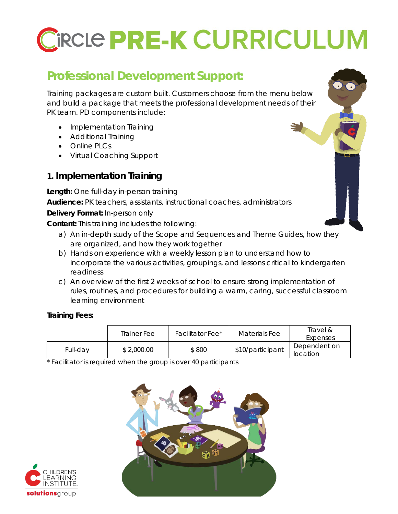# CIRCLE PRE-K CURRICULUM

## **Professional Development Support:**

Training packages are custom built. Customers choose from the menu below and build a package that meets the professional development needs of their PK team. PD components include:

- Implementation Training
- Additional Training
- Online PLCs
- Virtual Coaching Support

## **1. Implementation Training**

**Length:** One full-day in-person training

**Audience:** PK teachers, assistants, instructional coaches, administrators

**Delivery Format:** In-person only

**Content:** This training includes the following:

- a) An in-depth study of the Scope and Sequences and Theme Guides, how they are organized, and how they work together
- b) Hands on experience with a weekly lesson plan to understand how to incorporate the various activities, groupings, and lessons critical to kindergarten readiness
- c) An overview of the first 2 weeks of school to ensure strong implementation of rules, routines, and procedures for building a warm, caring, successful classroom learning environment

#### **Training Fees:**

|          | Trainer Fee | Facilitator Fee* | Materials Fee    | Travel &<br>Expenses     |
|----------|-------------|------------------|------------------|--------------------------|
| Full-day | \$2,000.00  | \$800            | \$10/participant | Dependent on<br>location |

\* *Facilitator is required when the group is over 40 participants* 



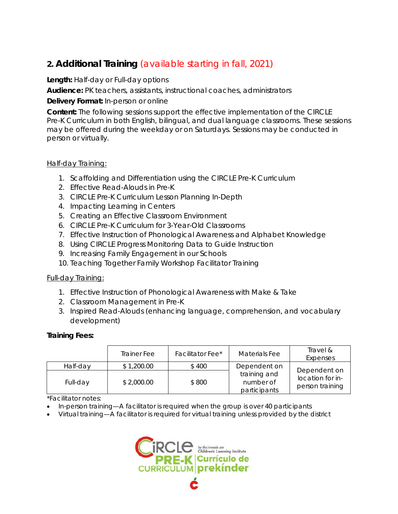## **2. Additional Training** *(available starting in fall, 2021)*

#### **Length:** Half-day or Full-day options

**Audience:** PK teachers, assistants, instructional coaches, administrators

#### **Delivery Format:** In-person or online

**Content:** The following sessions support the effective implementation of the CIRCLE Pre-K Curriculum in both English, bilingual, and dual language classrooms. These sessions may be offered during the weekday or on Saturdays. Sessions may be conducted in person or virtually.

#### Half-day Training:

- 1. Scaffolding and Differentiation using the CIRCLE Pre-K Curriculum
- 2. Effective Read-Alouds in Pre-K
- 3. CIRCLE Pre-K Curriculum Lesson Planning In-Depth
- 4. Impacting Learning in Centers
- 5. Creating an Effective Classroom Environment
- 6. CIRCLE Pre-K Curriculum for 3-Year-Old Classrooms
- 7. Effective Instruction of Phonological Awareness and Alphabet Knowledge
- 8. Using CIRCLE Progress Monitoring Data to Guide Instruction
- 9. Increasing Family Engagement in our Schools
- 10. Teaching Together Family Workshop Facilitator Training

#### Full-day Training:

- 1. Effective Instruction of Phonological Awareness with Make & Take
- 2. Classroom Management in Pre-K
- 3. Inspired Read-Alouds (enhancing language, comprehension, and vocabulary development)

#### **Training Fees:**

|          | Trainer Fee | Facilitator Fee <sup>*</sup> | Materials Fee                             | Travel &<br>Expenses                |
|----------|-------------|------------------------------|-------------------------------------------|-------------------------------------|
| Half-day | \$1,200.00  | \$400                        | Dependent on                              | Dependent on                        |
| Full-day | \$2,000.00  | \$800                        | training and<br>number of<br>participants | location for in-<br>person training |

#### \**Facilitator notes*:

- *In-person training—A facilitator is required when the group is over 40 participants*
- *Virtual training—A facilitator is required for virtual training unless provided by the district*